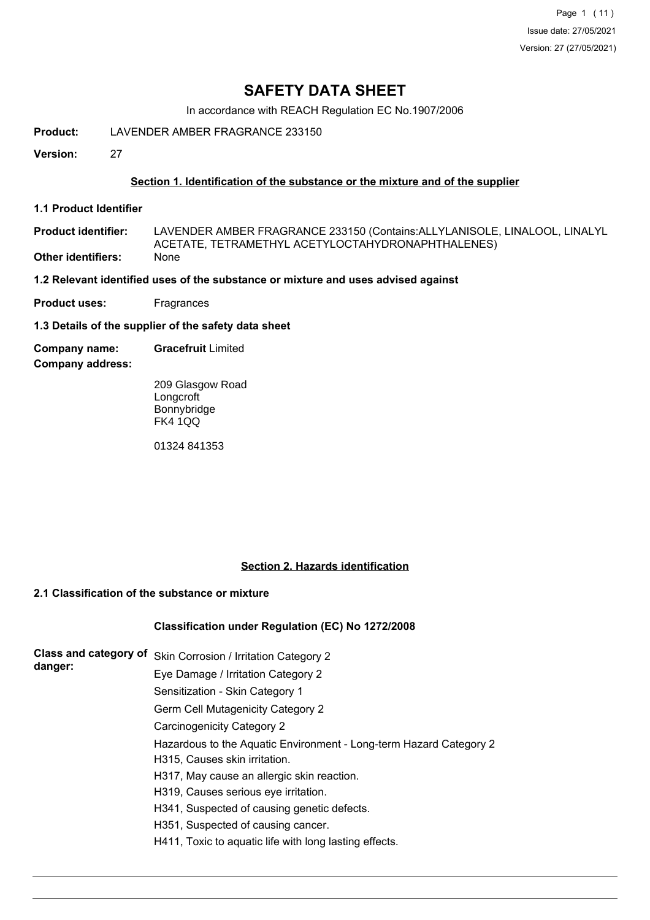Page 1 (11) Issue date: 27/05/2021 Version: 27 (27/05/2021)

# **SAFETY DATA SHEET**

In accordance with REACH Regulation EC No.1907/2006

**Product:** LAVENDER AMBER FRAGRANCE 233150

**Version:** 27

## **Section 1. Identification of the substance or the mixture and of the supplier**

**1.1 Product Identifier**

LAVENDER AMBER FRAGRANCE 233150 (Contains:ALLYLANISOLE, LINALOOL, LINALYL ACETATE, TETRAMETHYL ACETYLOCTAHYDRONAPHTHALENES) **Product identifier: Other identifiers:** 

**1.2 Relevant identified uses of the substance or mixture and uses advised against**

**Product uses:** Fragrances

**1.3 Details of the supplier of the safety data sheet**

**Company name: Gracefruit** Limited

**Company address:**

209 Glasgow Road **Longcroft** Bonnybridge FK4 1QQ

01324 841353

## **Section 2. Hazards identification**

# **2.1 Classification of the substance or mixture**

## **Classification under Regulation (EC) No 1272/2008**

| Class and category of<br>danger: | Skin Corrosion / Irritation Category 2                             |
|----------------------------------|--------------------------------------------------------------------|
|                                  | Eye Damage / Irritation Category 2                                 |
|                                  | Sensitization - Skin Category 1                                    |
|                                  | Germ Cell Mutagenicity Category 2                                  |
|                                  | Carcinogenicity Category 2                                         |
|                                  | Hazardous to the Aquatic Environment - Long-term Hazard Category 2 |
|                                  | H315, Causes skin irritation.                                      |
|                                  | H317, May cause an allergic skin reaction.                         |
|                                  | H319, Causes serious eye irritation.                               |
|                                  | H341, Suspected of causing genetic defects.                        |
|                                  | H351, Suspected of causing cancer.                                 |
|                                  | H411, Toxic to aquatic life with long lasting effects.             |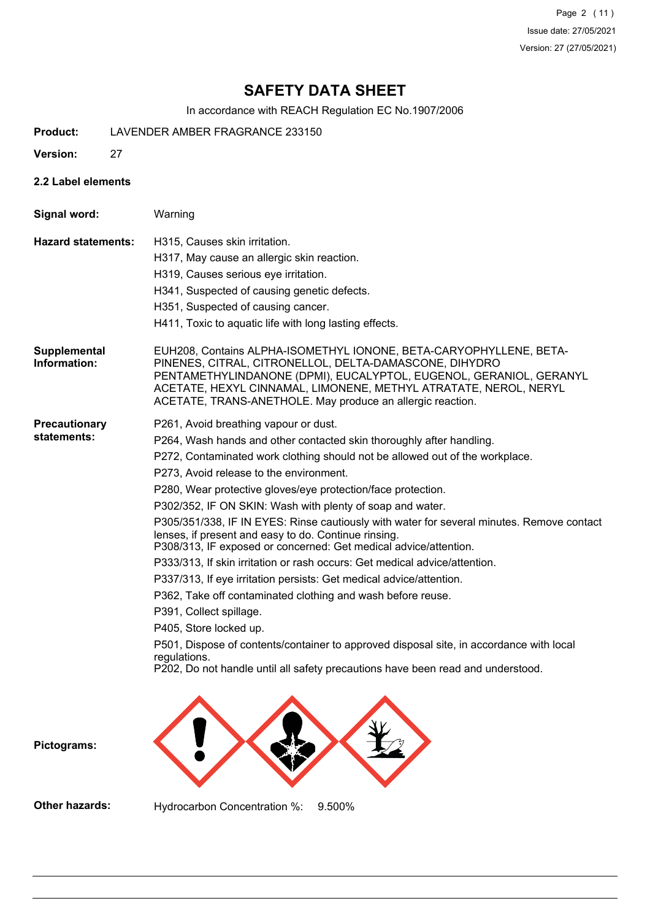Page 2 (11) Issue date: 27/05/2021 Version: 27 (27/05/2021)

# **SAFETY DATA SHEET**

In accordance with REACH Regulation EC No.1907/2006

- **Product:** LAVENDER AMBER FRAGRANCE 233150
- **Version:** 27
- **2.2 Label elements**

**Signal word:** Warning **Hazard statements:** H315, Causes skin irritation. H317, May cause an allergic skin reaction. H319, Causes serious eye irritation. H341, Suspected of causing genetic defects. H351, Suspected of causing cancer. H411, Toxic to aquatic life with long lasting effects. EUH208, Contains ALPHA-ISOMETHYL IONONE, BETA-CARYOPHYLLENE, BETA-PINENES, CITRAL, CITRONELLOL, DELTA-DAMASCONE, DIHYDRO PENTAMETHYLINDANONE (DPMI), EUCALYPTOL, EUGENOL, GERANIOL, GERANYL ACETATE, HEXYL CINNAMAL, LIMONENE, METHYL ATRATATE, NEROL, NERYL ACETATE, TRANS-ANETHOLE. May produce an allergic reaction. **Supplemental Information: Precautionary statements:** P261, Avoid breathing vapour or dust. P264, Wash hands and other contacted skin thoroughly after handling. P272, Contaminated work clothing should not be allowed out of the workplace. P273, Avoid release to the environment. P280, Wear protective gloves/eye protection/face protection. P302/352, IF ON SKIN: Wash with plenty of soap and water. P305/351/338, IF IN EYES: Rinse cautiously with water for several minutes. Remove contact lenses, if present and easy to do. Continue rinsing. P308/313, IF exposed or concerned: Get medical advice/attention. P333/313, If skin irritation or rash occurs: Get medical advice/attention. P337/313, If eye irritation persists: Get medical advice/attention. P362, Take off contaminated clothing and wash before reuse. P391, Collect spillage. P405, Store locked up. P501, Dispose of contents/container to approved disposal site, in accordance with local regulations. P202, Do not handle until all safety precautions have been read and understood. **Pictograms:**

**Other hazards:** Hydrocarbon Concentration %: 9.500%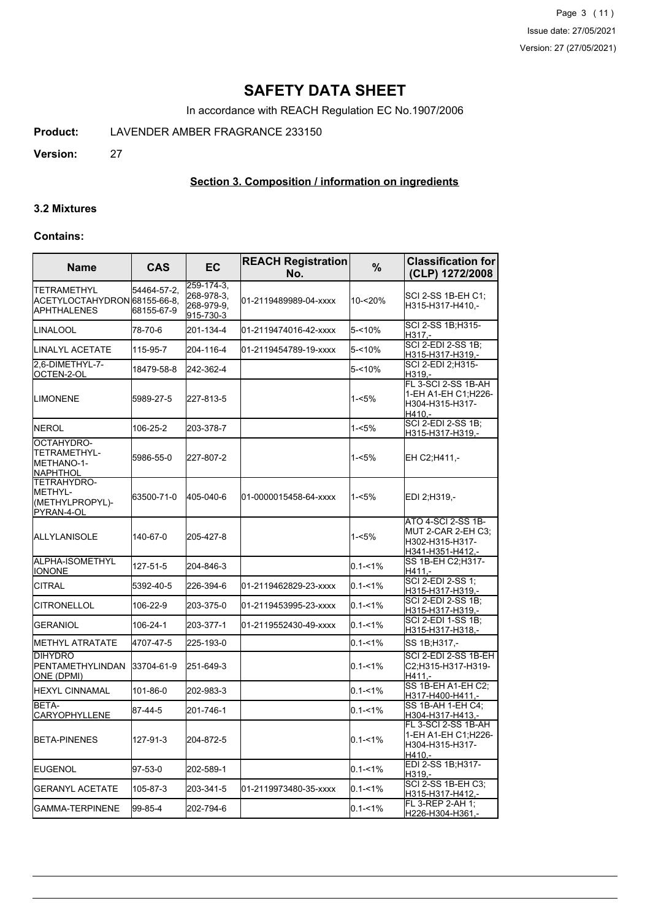Page 3 (11) Issue date: 27/05/2021 Version: 27 (27/05/2021)

# **SAFETY DATA SHEET**

In accordance with REACH Regulation EC No.1907/2006

**Product:** LAVENDER AMBER FRAGRANCE 233150

**Version:** 27

## **Section 3. Composition / information on ingredients**

#### **3.2 Mixtures**

## **Contains:**

| <b>Name</b>                                                       | <b>CAS</b>                | EC                                                  | <b>REACH Registration</b><br>No. | $\frac{9}{6}$ | <b>Classification for</b><br>(CLP) 1272/2008                                           |
|-------------------------------------------------------------------|---------------------------|-----------------------------------------------------|----------------------------------|---------------|----------------------------------------------------------------------------------------|
| TETRAMETHYL<br>ACETYLOCTAHYDRON 68155-66-8.<br><b>APHTHALENES</b> | 54464-57-2.<br>68155-67-9 | 259-174-3,<br>268-978-3,<br>268-979-9,<br>915-730-3 | 01-2119489989-04-xxxx            | 10-<20%       | SCI 2-SS 1B-EH C1;<br>H315-H317-H410,-                                                 |
| LINALOOL                                                          | 78-70-6                   | 201-134-4                                           | 01-2119474016-42-xxxx            | 5-<10%        | SCI 2-SS 1B;H315-<br>H317.-                                                            |
| LINALYL ACETATE                                                   | 115-95-7                  | 204-116-4                                           | 01-2119454789-19-xxxx            | $5 - 10%$     | <b>SCI 2-EDI 2-SS 1B:</b><br>H315-H317-H319,-                                          |
| 2,6-DIMETHYL-7-<br>OCTEN-2-OL                                     | 18479-58-8                | 242-362-4                                           |                                  | $5 - 10%$     | SCI 2-EDI 2;H315-<br>H319,-                                                            |
| LIMONENE                                                          | 5989-27-5                 | 227-813-5                                           |                                  | $1 - 5%$      | FL 3-SCI 2-SS 1B-AH<br>1-EH A1-EH C1:H226-<br>H304-H315-H317-<br>H410,-                |
| <b>NEROL</b>                                                      | 106-25-2                  | 203-378-7                                           |                                  | $1 - 5%$      | <b>SCI 2-EDI 2-SS 1B;</b><br>H315-H317-H319,-                                          |
| OCTAHYDRO-<br>TETRAMETHYL-<br>METHANO-1-<br> NAPHTHOL             | 5986-55-0                 | 227-807-2                                           |                                  | $1 - 5%$      | EH C2;H411,-                                                                           |
| TETRAHYDRO-<br>IMETHYL-<br>(METHYLPROPYL)-<br>PYRAN-4-OL          | 63500-71-0                | 405-040-6                                           | 01-0000015458-64-xxxx            | $1 - 5%$      | EDI 2;H319,-                                                                           |
| ALLYLANISOLE                                                      | 140-67-0                  | 205-427-8                                           |                                  | $1 - 5%$      | <b>ATO 4-SCI 2-SS 1B-</b><br>MUT 2-CAR 2-EH C3;<br>H302-H315-H317-<br>H341-H351-H412,- |
| ALPHA-ISOMETHYL<br><b>IONONE</b>                                  | 127-51-5                  | 204-846-3                                           |                                  | $0.1 - 1%$    | SS 1B-EH C2;H317-<br>$H411. -$                                                         |
| CITRAL                                                            | 5392-40-5                 | 226-394-6                                           | 01-2119462829-23-xxxx            | $0.1 - 1%$    | SCI 2-EDI 2-SS 1;<br>H315-H317-H319,-                                                  |
| <b>CITRONELLOL</b>                                                | 106-22-9                  | 203-375-0                                           | 01-2119453995-23-xxxx            | $0.1 - 1\%$   | SCI 2-EDI 2-SS 1B;<br>H315-H317-H319,-                                                 |
| <b>GERANIOL</b>                                                   | 106-24-1                  | 203-377-1                                           | 01-2119552430-49-xxxx            | $0.1 - 1\%$   | SCI 2-EDI 1-SS 1B:<br>H315-H317-H318,-                                                 |
| <b>METHYL ATRATATE</b>                                            | 4707-47-5                 | 225-193-0                                           |                                  | $0.1 - 1\%$   | SS 1B;H317,-                                                                           |
| <b>DIHYDRO</b><br>PENTAMETHYLINDAN<br>ONE (DPMI)                  | 33704-61-9                | 251-649-3                                           |                                  | $0.1 - 1%$    | SCI 2-EDI 2-SS 1B-EH<br>C2;H315-H317-H319-<br>$H411 -$                                 |
| <b>HEXYL CINNAMAL</b>                                             | 101-86-0                  | 202-983-3                                           |                                  | $0.1 - 1%$    | SS 1B-EH A1-EH C2;<br>H317-H400-H411,-                                                 |
| BETA-<br><b>CARYOPHYLLENE</b>                                     | 87-44-5                   | 201-746-1                                           |                                  | $0.1 - 1%$    | SS 1B-AH 1-EH C4:<br>H304-H317-H413,-                                                  |
| <b>BETA-PINENES</b>                                               | 127-91-3                  | 204-872-5                                           |                                  | $0.1 - 1\%$   | FL 3-SCI 2-SS 1B-AH<br>1-EH A1-EH C1;H226-<br>H304-H315-H317-<br>H410,-                |
| <b>EUGENOL</b>                                                    | 97-53-0                   | 202-589-1                                           |                                  | $0.1 - 1\%$   | EDI 2-SS 1B;H317-<br>H319,-                                                            |
| GERANYL ACETATE                                                   | 105-87-3                  | 203-341-5                                           | 01-2119973480-35-xxxx            | $0.1 - 1%$    | SCI 2-SS 1B-EH C3;<br>H315-H317-H412,-                                                 |
| <b>GAMMA-TERPINENE</b>                                            | 99-85-4                   | 202-794-6                                           |                                  | $0.1 - 1%$    | FL 3-REP 2-AH 1;<br>H226-H304-H361,-                                                   |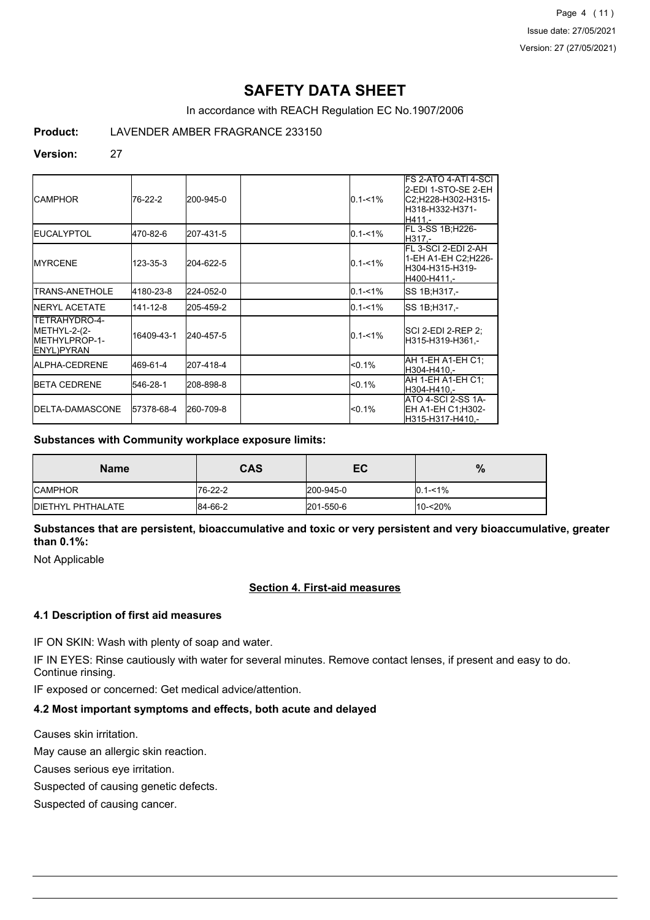Page 4 (11) Issue date: 27/05/2021 Version: 27 (27/05/2021)

# **SAFETY DATA SHEET**

In accordance with REACH Regulation EC No.1907/2006

**Product:** LAVENDER AMBER FRAGRANCE 233150

## **Version:** 27

| <b>ICAMPHOR</b>                                                              | 76-22-2    | 200-945-0 | $0.1 - 1\%$ | FS 2-ATO 4-ATI 4-SCI<br>2-EDI 1-STO-SE 2-EH<br>IC2:H228-H302-H315-<br>lH318-H332-H371-<br>H411.- |
|------------------------------------------------------------------------------|------------|-----------|-------------|--------------------------------------------------------------------------------------------------|
| <b>IEUCALYPTOL</b>                                                           | 470-82-6   | 207-431-5 | $0.1 - 1\%$ | FL 3-SS 1B;H226-<br>IH317.-                                                                      |
| <b>IMYRCENE</b>                                                              | 123-35-3   | 204-622-5 | $0.1 - 1\%$ | FL 3-SCI 2-EDI 2-AH<br>1-EH A1-EH C2:H226-<br>H304-H315-H319-<br>H400-H411.-                     |
| TRANS-ANETHOLE                                                               | 4180-23-8  | 224-052-0 | $0.1 - 1\%$ | ISS 1B;H317,-                                                                                    |
| <b>INERYL ACETATE</b>                                                        | 141-12-8   | 205-459-2 | $0.1 - 1%$  | SS 1B:H317.-                                                                                     |
| TETRAHYDRO-4-<br>METHYL-2-(2-<br><b>IMETHYLPROP-1-</b><br><b>IENYL)PYRAN</b> | 16409-43-1 | 240-457-5 | $0.1 - 1\%$ | ISCI 2-EDI 2-REP 2:<br>H315-H319-H361.-                                                          |
| <b>IALPHA-CEDRENE</b>                                                        | 469-61-4   | 207-418-4 | $< 0.1\%$   | IAH 1-EH A1-EH C1:<br>H304-H410.-                                                                |
| <b>IBETA CEDRENE</b>                                                         | 546-28-1   | 208-898-8 | $< 0.1\%$   | AH 1-EH A1-EH C1:<br>H304-H410,-                                                                 |
| <b>IDELTA-DAMASCONE</b>                                                      | 57378-68-4 | 260-709-8 | $< 0.1\%$   | ATO 4-SCI 2-SS 1A-<br>EH A1-EH C1;H302-<br>H315-H317-H410.-                                      |

## **Substances with Community workplace exposure limits:**

| <b>Name</b>               | <b>CAS</b>     | EC        | %           |
|---------------------------|----------------|-----------|-------------|
| <b>ICAMPHOR</b>           | $176 - 22 - 2$ | 200-945-0 | $0.1 - 1\%$ |
| <b>IDIETHYL PHTHALATE</b> | 84-66-2        | 201-550-6 | 10-<20%     |

**Substances that are persistent, bioaccumulative and toxic or very persistent and very bioaccumulative, greater than 0.1%:**

Not Applicable

# **Section 4. First-aid measures**

#### **4.1 Description of first aid measures**

IF ON SKIN: Wash with plenty of soap and water.

IF IN EYES: Rinse cautiously with water for several minutes. Remove contact lenses, if present and easy to do. Continue rinsing.

IF exposed or concerned: Get medical advice/attention.

#### **4.2 Most important symptoms and effects, both acute and delayed**

Causes skin irritation.

May cause an allergic skin reaction.

Causes serious eye irritation.

Suspected of causing genetic defects.

Suspected of causing cancer.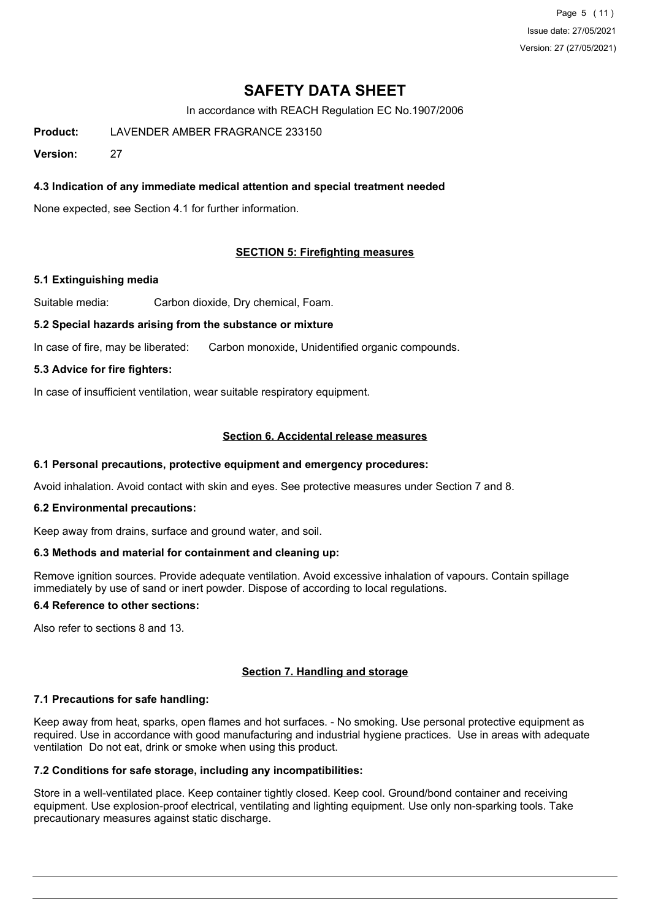Page 5 (11) Issue date: 27/05/2021 Version: 27 (27/05/2021)

# **SAFETY DATA SHEET**

In accordance with REACH Regulation EC No.1907/2006

**Product:** LAVENDER AMBER FRAGRANCE 233150

**Version:** 27

## **4.3 Indication of any immediate medical attention and special treatment needed**

None expected, see Section 4.1 for further information.

## **SECTION 5: Firefighting measures**

#### **5.1 Extinguishing media**

Suitable media: Carbon dioxide, Dry chemical, Foam.

#### **5.2 Special hazards arising from the substance or mixture**

In case of fire, may be liberated: Carbon monoxide, Unidentified organic compounds.

#### **5.3 Advice for fire fighters:**

In case of insufficient ventilation, wear suitable respiratory equipment.

## **Section 6. Accidental release measures**

#### **6.1 Personal precautions, protective equipment and emergency procedures:**

Avoid inhalation. Avoid contact with skin and eyes. See protective measures under Section 7 and 8.

#### **6.2 Environmental precautions:**

Keep away from drains, surface and ground water, and soil.

#### **6.3 Methods and material for containment and cleaning up:**

Remove ignition sources. Provide adequate ventilation. Avoid excessive inhalation of vapours. Contain spillage immediately by use of sand or inert powder. Dispose of according to local regulations.

## **6.4 Reference to other sections:**

Also refer to sections 8 and 13.

## **Section 7. Handling and storage**

## **7.1 Precautions for safe handling:**

Keep away from heat, sparks, open flames and hot surfaces. - No smoking. Use personal protective equipment as required. Use in accordance with good manufacturing and industrial hygiene practices. Use in areas with adequate ventilation Do not eat, drink or smoke when using this product.

## **7.2 Conditions for safe storage, including any incompatibilities:**

Store in a well-ventilated place. Keep container tightly closed. Keep cool. Ground/bond container and receiving equipment. Use explosion-proof electrical, ventilating and lighting equipment. Use only non-sparking tools. Take precautionary measures against static discharge.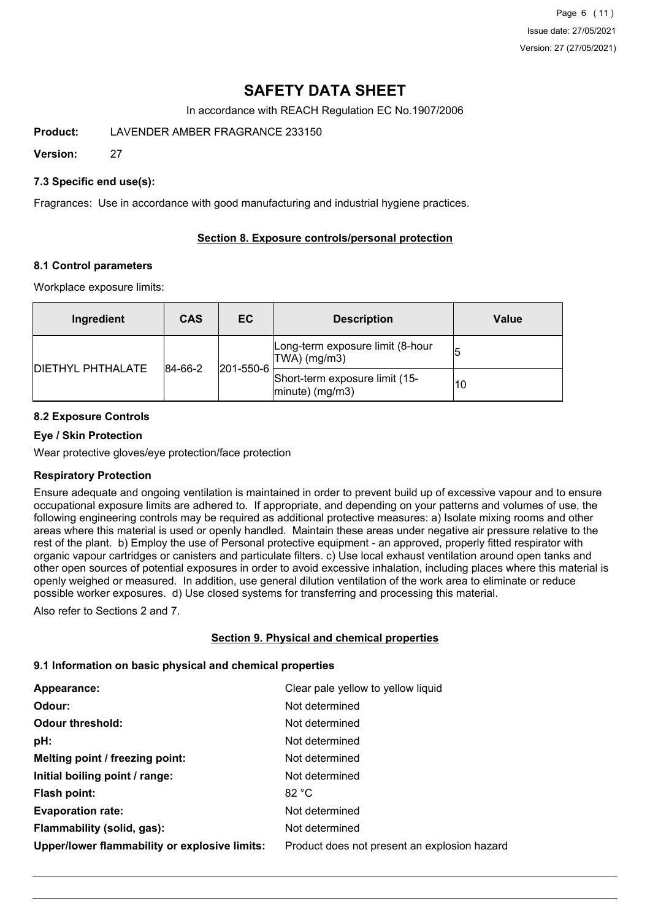Page 6 (11) Issue date: 27/05/2021 Version: 27 (27/05/2021)

# **SAFETY DATA SHEET**

In accordance with REACH Regulation EC No.1907/2006

**Product:** LAVENDER AMBER FRAGRANCE 233150

**Version:** 27

## **7.3 Specific end use(s):**

Fragrances: Use in accordance with good manufacturing and industrial hygiene practices.

## **Section 8. Exposure controls/personal protection**

## **8.1 Control parameters**

Workplace exposure limits:

| Ingredient               | <b>CAS</b> | EC.               | <b>Description</b>                                   | Value |
|--------------------------|------------|-------------------|------------------------------------------------------|-------|
|                          |            |                   | Long-term exposure limit (8-hour<br>TWA) (mg/m3)     |       |
| <b>DIETHYL PHTHALATE</b> | 84-66-2    | $ 201 - 550 - 6 $ | Short-term exposure limit (15-<br>$ minute)$ (mg/m3) | 10    |

## **8.2 Exposure Controls**

## **Eye / Skin Protection**

Wear protective gloves/eye protection/face protection

## **Respiratory Protection**

Ensure adequate and ongoing ventilation is maintained in order to prevent build up of excessive vapour and to ensure occupational exposure limits are adhered to. If appropriate, and depending on your patterns and volumes of use, the following engineering controls may be required as additional protective measures: a) Isolate mixing rooms and other areas where this material is used or openly handled. Maintain these areas under negative air pressure relative to the rest of the plant. b) Employ the use of Personal protective equipment - an approved, properly fitted respirator with organic vapour cartridges or canisters and particulate filters. c) Use local exhaust ventilation around open tanks and other open sources of potential exposures in order to avoid excessive inhalation, including places where this material is openly weighed or measured. In addition, use general dilution ventilation of the work area to eliminate or reduce possible worker exposures. d) Use closed systems for transferring and processing this material.

Also refer to Sections 2 and 7.

## **Section 9. Physical and chemical properties**

## **9.1 Information on basic physical and chemical properties**

| Appearance:                                   | Clear pale yellow to yellow liquid           |
|-----------------------------------------------|----------------------------------------------|
| Odour:                                        | Not determined                               |
| <b>Odour threshold:</b>                       | Not determined                               |
| pH:                                           | Not determined                               |
| Melting point / freezing point:               | Not determined                               |
| Initial boiling point / range:                | Not determined                               |
| Flash point:                                  | 82 °C                                        |
| <b>Evaporation rate:</b>                      | Not determined                               |
| Flammability (solid, gas):                    | Not determined                               |
| Upper/lower flammability or explosive limits: | Product does not present an explosion hazard |
|                                               |                                              |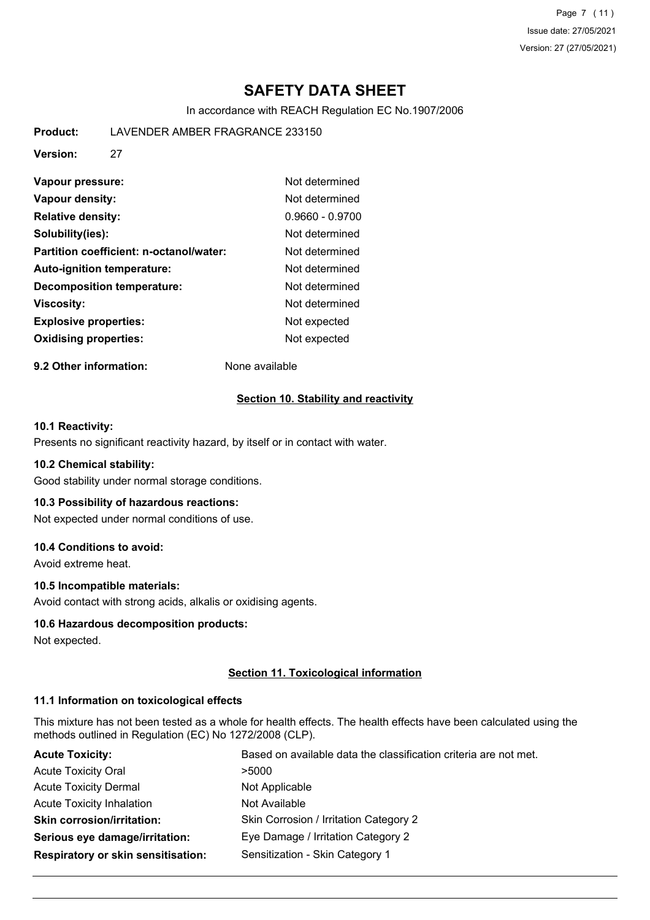Page 7 (11) Issue date: 27/05/2021 Version: 27 (27/05/2021)

# **SAFETY DATA SHEET**

In accordance with REACH Regulation EC No.1907/2006

**Product:** LAVENDER AMBER FRAGRANCE 233150

**Version:** 27

| Vapour pressure:                        | Not determined    |
|-----------------------------------------|-------------------|
| Vapour density:                         | Not determined    |
| <b>Relative density:</b>                | $0.9660 - 0.9700$ |
| Solubility(ies):                        | Not determined    |
| Partition coefficient: n-octanol/water: | Not determined    |
| Auto-ignition temperature:              | Not determined    |
| <b>Decomposition temperature:</b>       | Not determined    |
| <b>Viscosity:</b>                       | Not determined    |
| <b>Explosive properties:</b>            | Not expected      |
| <b>Oxidising properties:</b>            | Not expected      |

**9.2 Other information:** None available

## **Section 10. Stability and reactivity**

## **10.1 Reactivity:**

Presents no significant reactivity hazard, by itself or in contact with water.

#### **10.2 Chemical stability:**

Good stability under normal storage conditions.

## **10.3 Possibility of hazardous reactions:**

Not expected under normal conditions of use.

## **10.4 Conditions to avoid:**

Avoid extreme heat.

## **10.5 Incompatible materials:**

Avoid contact with strong acids, alkalis or oxidising agents.

## **10.6 Hazardous decomposition products:**

Not expected.

## **Section 11. Toxicological information**

## **11.1 Information on toxicological effects**

This mixture has not been tested as a whole for health effects. The health effects have been calculated using the methods outlined in Regulation (EC) No 1272/2008 (CLP).

| <b>Acute Toxicity:</b>                    | Based on available data the classification criteria are not met. |
|-------------------------------------------|------------------------------------------------------------------|
| <b>Acute Toxicity Oral</b>                | >5000                                                            |
| <b>Acute Toxicity Dermal</b>              | Not Applicable                                                   |
| <b>Acute Toxicity Inhalation</b>          | Not Available                                                    |
| <b>Skin corrosion/irritation:</b>         | Skin Corrosion / Irritation Category 2                           |
| Serious eye damage/irritation:            | Eye Damage / Irritation Category 2                               |
| <b>Respiratory or skin sensitisation:</b> | Sensitization - Skin Category 1                                  |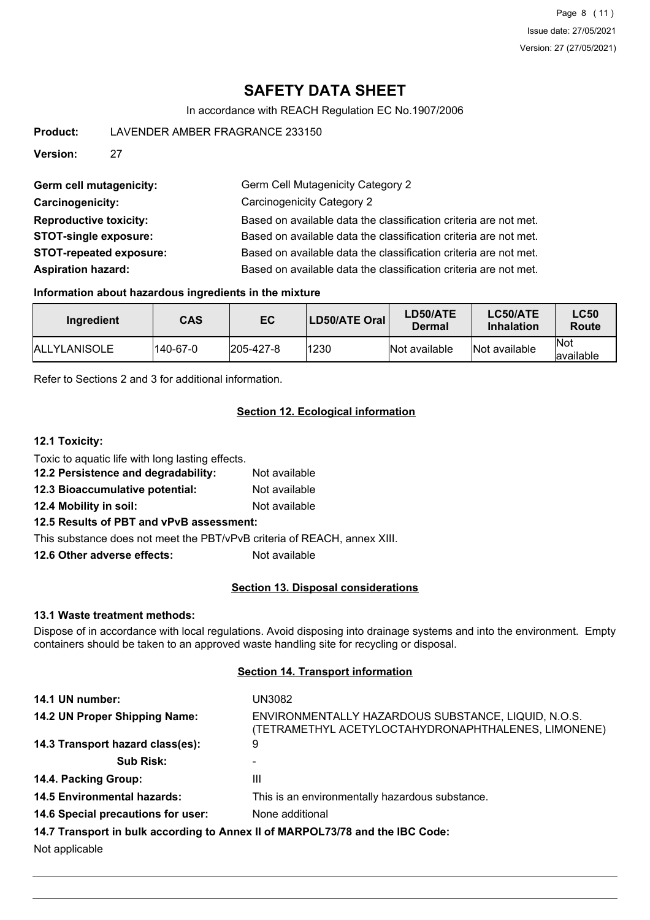Page 8 (11) Issue date: 27/05/2021 Version: 27 (27/05/2021)

# **SAFETY DATA SHEET**

In accordance with REACH Regulation EC No.1907/2006

| <b>Product:</b>               |                                | LAVENDER AMBER FRAGRANCE 233150                                  |  |  |
|-------------------------------|--------------------------------|------------------------------------------------------------------|--|--|
|                               |                                |                                                                  |  |  |
| <b>Version:</b>               | 27                             |                                                                  |  |  |
|                               |                                |                                                                  |  |  |
| Germ cell mutagenicity:       |                                | Germ Cell Mutagenicity Category 2                                |  |  |
| <b>Carcinogenicity:</b>       |                                | Carcinogenicity Category 2                                       |  |  |
| <b>Reproductive toxicity:</b> |                                | Based on available data the classification criteria are not met. |  |  |
| <b>STOT-single exposure:</b>  |                                | Based on available data the classification criteria are not met. |  |  |
|                               | <b>STOT-repeated exposure:</b> | Based on available data the classification criteria are not met. |  |  |
| <b>Aspiration hazard:</b>     |                                | Based on available data the classification criteria are not met. |  |  |

#### **Information about hazardous ingredients in the mixture**

| Ingredient           | CAS      | EC                | <b>LD50/ATE Oral</b> | <b>LD50/ATE</b><br>Dermal | LC50/ATE<br><b>Inhalation</b> | <b>LC50</b><br>Route     |
|----------------------|----------|-------------------|----------------------|---------------------------|-------------------------------|--------------------------|
| <b>IALLYLANISOLE</b> | 140-67-0 | $ 205 - 427 - 8 $ | 1230                 | Not available             | Not available                 | <b>Not</b><br>lavailable |

Refer to Sections 2 and 3 for additional information.

### **Section 12. Ecological information**

#### **12.1 Toxicity:**

Toxic to aquatic life with long lasting effects. **12.2 Persistence and degradability:** Not available **12.3 Bioaccumulative potential:** Not available **12.4 Mobility in soil:** Not available **12.5 Results of PBT and vPvB assessment:** This substance does not meet the PBT/vPvB criteria of REACH, annex XIII.

**12.6 Other adverse effects:** Not available

#### **Section 13. Disposal considerations**

#### **13.1 Waste treatment methods:**

Dispose of in accordance with local regulations. Avoid disposing into drainage systems and into the environment. Empty containers should be taken to an approved waste handling site for recycling or disposal.

#### **Section 14. Transport information**

| 14.1 UN number:                    | UN3082                                                                                                     |
|------------------------------------|------------------------------------------------------------------------------------------------------------|
| 14.2 UN Proper Shipping Name:      | ENVIRONMENTALLY HAZARDOUS SUBSTANCE, LIQUID, N.O.S.<br>(TETRAMETHYL ACETYLOCTAHYDRONAPHTHALENES, LIMONENE) |
| 14.3 Transport hazard class(es):   | 9                                                                                                          |
| <b>Sub Risk:</b>                   | $\blacksquare$                                                                                             |
| 14.4. Packing Group:               | Ш                                                                                                          |
| <b>14.5 Environmental hazards:</b> | This is an environmentally hazardous substance.                                                            |
| 14.6 Special precautions for user: | None additional                                                                                            |
|                                    | 14.7 Transport in bulk according to Annex II of MARPOL73/78 and the IBC Code:                              |
| Not applicable                     |                                                                                                            |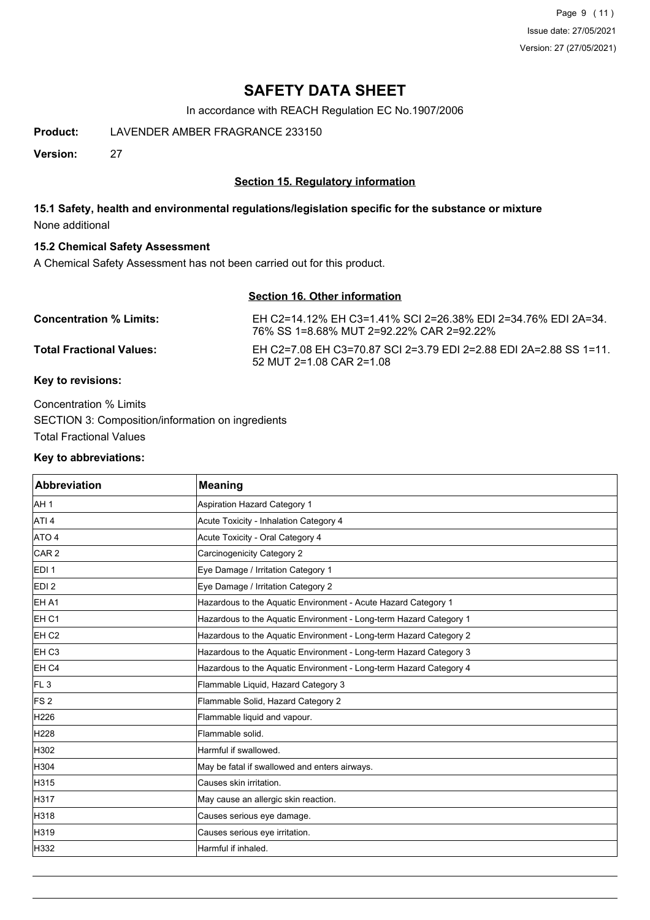Page 9 (11) Issue date: 27/05/2021 Version: 27 (27/05/2021)

# **SAFETY DATA SHEET**

In accordance with REACH Regulation EC No.1907/2006

**Product:** LAVENDER AMBER FRAGRANCE 233150

**Version:** 27

# **Section 15. Regulatory information**

# **15.1 Safety, health and environmental regulations/legislation specific for the substance or mixture** None additional

## **15.2 Chemical Safety Assessment**

A Chemical Safety Assessment has not been carried out for this product.

# **Section 16. Other information**

| <b>Concentration % Limits:</b>  | EH C2=14.12% EH C3=1.41% SCI 2=26.38% EDI 2=34.76% EDI 2A=34.<br>76% SS 1=8.68% MUT 2=92.22% CAR 2=92.22% |
|---------------------------------|-----------------------------------------------------------------------------------------------------------|
| <b>Total Fractional Values:</b> | EH C2=7.08 EH C3=70.87 SCI 2=3.79 EDI 2=2.88 EDI 2A=2.88 SS 1=11.<br>$52$ MUT 2=1.08 CAR 2=1.08           |
|                                 |                                                                                                           |

#### **Key to revisions:**

Concentration % Limits SECTION 3: Composition/information on ingredients Total Fractional Values

#### **Key to abbreviations:**

| <b>Abbreviation</b> | <b>Meaning</b>                                                     |
|---------------------|--------------------------------------------------------------------|
| AH 1                | <b>Aspiration Hazard Category 1</b>                                |
| ATI <sub>4</sub>    | Acute Toxicity - Inhalation Category 4                             |
| ATO 4               | Acute Toxicity - Oral Category 4                                   |
| CAR <sub>2</sub>    | Carcinogenicity Category 2                                         |
| EDI <sub>1</sub>    | Eye Damage / Irritation Category 1                                 |
| EDI <sub>2</sub>    | Eye Damage / Irritation Category 2                                 |
| EH A1               | Hazardous to the Aquatic Environment - Acute Hazard Category 1     |
| EH <sub>C1</sub>    | Hazardous to the Aquatic Environment - Long-term Hazard Category 1 |
| EH <sub>C2</sub>    | Hazardous to the Aquatic Environment - Long-term Hazard Category 2 |
| EH <sub>C3</sub>    | Hazardous to the Aquatic Environment - Long-term Hazard Category 3 |
| EH C4               | Hazardous to the Aquatic Environment - Long-term Hazard Category 4 |
| FL <sub>3</sub>     | Flammable Liquid, Hazard Category 3                                |
| <b>FS2</b>          | Flammable Solid, Hazard Category 2                                 |
| H226                | Flammable liquid and vapour.                                       |
| H <sub>228</sub>    | Flammable solid.                                                   |
| H302                | Harmful if swallowed.                                              |
| H304                | May be fatal if swallowed and enters airways.                      |
| H315                | Causes skin irritation.                                            |
| H317                | May cause an allergic skin reaction.                               |
| H318                | Causes serious eye damage.                                         |
| H319                | Causes serious eye irritation.                                     |
| H332                | Harmful if inhaled.                                                |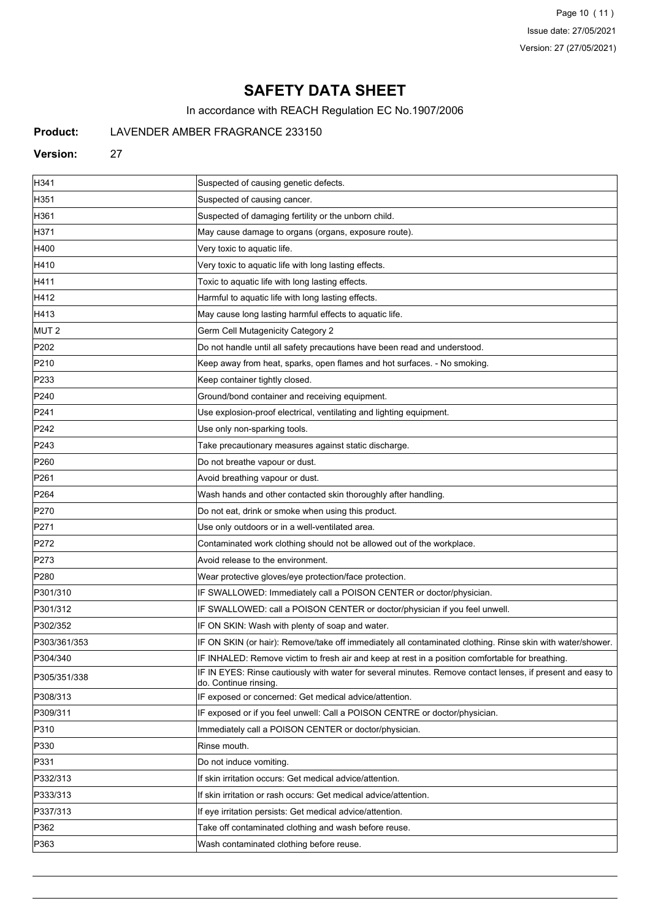Page 10 (11) Issue date: 27/05/2021 Version: 27 (27/05/2021)

# **SAFETY DATA SHEET**

In accordance with REACH Regulation EC No.1907/2006

# **Product:** LAVENDER AMBER FRAGRANCE 233150

#### **Version:** 27

| H341             | Suspected of causing genetic defects.                                                                                              |
|------------------|------------------------------------------------------------------------------------------------------------------------------------|
| H351             | Suspected of causing cancer.                                                                                                       |
| H361             | Suspected of damaging fertility or the unborn child.                                                                               |
| H371             | May cause damage to organs (organs, exposure route).                                                                               |
| H400             | Very toxic to aquatic life.                                                                                                        |
| H410             | Very toxic to aquatic life with long lasting effects.                                                                              |
| H411             | Toxic to aquatic life with long lasting effects.                                                                                   |
| H412             | Harmful to aquatic life with long lasting effects.                                                                                 |
| H413             | May cause long lasting harmful effects to aquatic life.                                                                            |
| MUT <sub>2</sub> | Germ Cell Mutagenicity Category 2                                                                                                  |
| P <sub>202</sub> | Do not handle until all safety precautions have been read and understood.                                                          |
| P210             | Keep away from heat, sparks, open flames and hot surfaces. - No smoking.                                                           |
| P233             | Keep container tightly closed.                                                                                                     |
| P240             | Ground/bond container and receiving equipment.                                                                                     |
| P241             | Use explosion-proof electrical, ventilating and lighting equipment.                                                                |
| P242             | Use only non-sparking tools.                                                                                                       |
| P243             | Take precautionary measures against static discharge.                                                                              |
| P <sub>260</sub> | Do not breathe vapour or dust.                                                                                                     |
| P <sub>261</sub> | Avoid breathing vapour or dust.                                                                                                    |
| P264             | Wash hands and other contacted skin thoroughly after handling.                                                                     |
| P270             | Do not eat, drink or smoke when using this product.                                                                                |
| P <sub>271</sub> | Use only outdoors or in a well-ventilated area.                                                                                    |
| P272             | Contaminated work clothing should not be allowed out of the workplace.                                                             |
| P273             | Avoid release to the environment.                                                                                                  |
| P280             | Wear protective gloves/eye protection/face protection.                                                                             |
| P301/310         | IF SWALLOWED: Immediately call a POISON CENTER or doctor/physician.                                                                |
| P301/312         | IF SWALLOWED: call a POISON CENTER or doctor/physician if you feel unwell.                                                         |
| P302/352         | IF ON SKIN: Wash with plenty of soap and water.                                                                                    |
| P303/361/353     | IF ON SKIN (or hair): Remove/take off immediately all contaminated clothing. Rinse skin with water/shower.                         |
| P304/340         | IF INHALED: Remove victim to fresh air and keep at rest in a position comfortable for breathing                                    |
| P305/351/338     | IF IN EYES: Rinse cautiously with water for several minutes. Remove contact lenses, if present and easy to<br>do. Continue rinsing |
| P308/313         | IF exposed or concerned: Get medical advice/attention.                                                                             |
| P309/311         | IF exposed or if you feel unwell: Call a POISON CENTRE or doctor/physician.                                                        |
| P310             | Immediately call a POISON CENTER or doctor/physician.                                                                              |
| P330             | Rinse mouth.                                                                                                                       |
| P331             | Do not induce vomiting.                                                                                                            |
| P332/313         | If skin irritation occurs: Get medical advice/attention.                                                                           |
| P333/313         | If skin irritation or rash occurs: Get medical advice/attention.                                                                   |
| P337/313         | If eye irritation persists: Get medical advice/attention.                                                                          |
| P362             | Take off contaminated clothing and wash before reuse.                                                                              |
| P363             | Wash contaminated clothing before reuse.                                                                                           |
|                  |                                                                                                                                    |